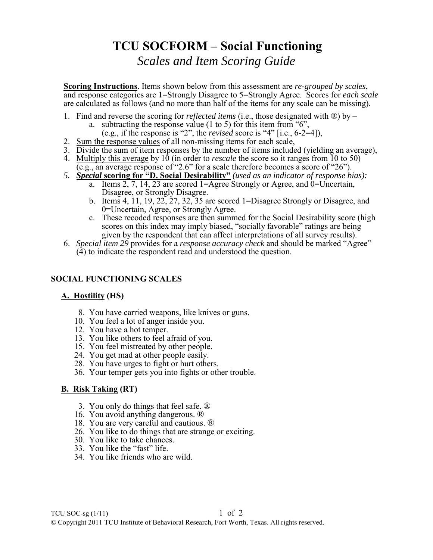# **TCU SOCFORM – Social Functioning**

*Scales and Item Scoring Guide*

**Scoring Instructions**. Items shown below from this assessment are *re-grouped by scales*, and response categories are 1=Strongly Disagree to 5=Strongly Agree. Scores for *each scale* are calculated as follows (and no more than half of the items for any scale can be missing).

- 1. Find and reverse the scoring for *reflected items* (i.e., those designated with ®) by
	- a. subtracting the response value  $(1 \text{ to } 5)$  for this item from "6",
	- (e.g., if the response is "2", the *revised* score is "4" [i.e., 6-2=4]),
- 2. Sum the response values of all non-missing items for each scale,
- 3. Divide the sum of item responses by the number of items included (yielding an average),
- 4. Multiply this average by 10 (in order to *rescale* the score so it ranges from 10 to 50)
- (e.g., an average response of "2.6" for a scale therefore becomes a score of "26").
- *5. Special* **scoring for "D. Social Desirability"** *(used as an indicator of response bias):*  a. Items 2, 7, 14, 23 are scored 1=Agree Strongly or Agree, and 0=Uncertain, Disagree, or Strongly Disagree.
	- b. Items 4, 11, 19, 22, 27, 32, 35 are scored 1=Disagree Strongly or Disagree, and 0=Uncertain, Agree, or Strongly Agree.
	- c. These recoded responses are then summed for the Social Desirability score (high scores on this index may imply biased, "socially favorable" ratings are being given by the respondent that can affect interpretations of all survey results).
- 6. *Special item 29* provides for a *response accuracy check* and should be marked "Agree" (4) to indicate the respondent read and understood the question.

## **SOCIAL FUNCTIONING SCALES**

## **A. Hostility (HS)**

- 8. You have carried weapons, like knives or guns.
- 10. You feel a lot of anger inside you.
- 12. You have a hot temper.
- 13. You like others to feel afraid of you.
- 15. You feel mistreated by other people.
- 24. You get mad at other people easily.
- 28. You have urges to fight or hurt others.
- 36. Your temper gets you into fights or other trouble.

## **B. Risk Taking (RT)**

- 3. You only do things that feel safe. ®
- 16. You avoid anything dangerous. ®
- 18. You are very careful and cautious. ®
- 26. You like to do things that are strange or exciting.
- 30. You like to take chances.
- 33. You like the "fast" life.
- 34. You like friends who are wild.